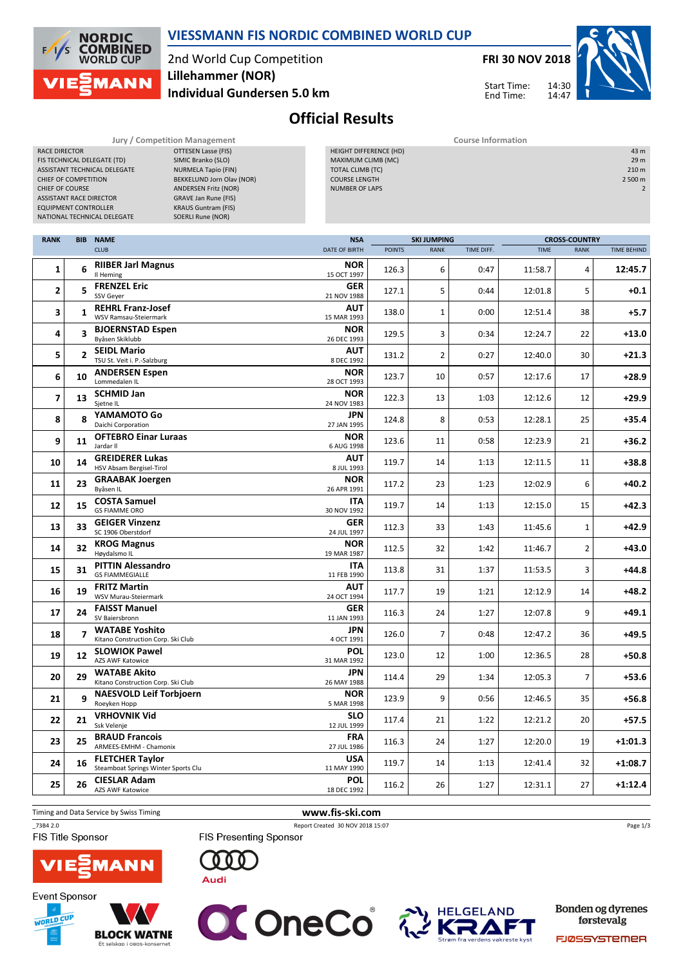

RANK BIB NAME

### VIESSMANN FIS NORDIC COMBINED WORLD CUP

2nd World Cup Competition Individual Gundersen 5.0 km Lillehammer (NOR)



 $14.30$ 14:47

Start Time: End Time:



Official Results

| <b>Jury / Competition Management</b>     |                             | <b>Course Information</b>     |                    |                      |                  |  |  |
|------------------------------------------|-----------------------------|-------------------------------|--------------------|----------------------|------------------|--|--|
| <b>RACE DIRECTOR</b>                     | OTTESEN Lasse (FIS)         | <b>HEIGHT DIFFERENCE (HD)</b> |                    |                      | 43 m             |  |  |
| FIS TECHNICAL DELEGATE (TD)              | SIMIC Branko (SLO)          | MAXIMUM CLIMB (MC)            |                    |                      | 29 <sub>m</sub>  |  |  |
| ASSISTANT TECHNICAL DELEGATE             | NURMELA Tapio (FIN)         | <b>TOTAL CLIMB (TC)</b>       |                    |                      | 210 <sub>m</sub> |  |  |
| <b>CHIEF OF COMPETITION</b>              | BEKKELUND Jorn Olav (NOR)   | <b>COURSE LENGTH</b>          |                    |                      | 2 500 m          |  |  |
| <b>CHIEF OF COURSE</b>                   | ANDERSEN Fritz (NOR)        | <b>NUMBER OF LAPS</b>         |                    |                      |                  |  |  |
| <b>ASSISTANT RACE DIRECTOR</b>           | <b>GRAVE Jan Rune (FIS)</b> |                               |                    |                      |                  |  |  |
| <b>EQUIPMENT CONTROLLER</b>              | <b>KRAUS Guntram (FIS)</b>  |                               |                    |                      |                  |  |  |
| NATIONAL TECHNICAL DELEGATE              | SOERLI Rune (NOR)           |                               |                    |                      |                  |  |  |
|                                          |                             |                               |                    |                      |                  |  |  |
| <b>RANK</b><br><b>NAME</b><br><b>BIB</b> |                             | <b>NSA</b>                    | <b>SKI JUMPING</b> | <b>CROSS-COUNTRY</b> |                  |  |  |

| ыв                      | <b>NAML</b>                                                   |                                                     |               |                |            | <b>CROSS-COUNTRY</b> |                |                    |  |
|-------------------------|---------------------------------------------------------------|-----------------------------------------------------|---------------|----------------|------------|----------------------|----------------|--------------------|--|
|                         | <b>CLUB</b>                                                   | <b>DATE OF BIRTH</b>                                | <b>POINTS</b> | <b>RANK</b>    | TIME DIFF. | <b>TIME</b>          | <b>RANK</b>    | <b>TIME BEHIND</b> |  |
| 6                       | <b>RIIBER Jarl Magnus</b><br>Il Heming                        | <b>NOR</b><br>15 OCT 1997                           | 126.3         | 6              | 0:47       | 11:58.7              | $\overline{4}$ | 12:45.7            |  |
| 5                       | <b>FRENZEL Eric</b><br>SSV Geyer                              | <b>GER</b><br>21 NOV 1988                           | 127.1         | 5              | 0:44       | 12:01.8              | 5              | $+0.1$             |  |
| 1                       | <b>REHRL Franz-Josef</b><br>WSV Ramsau-Steiermark             | AUT<br>15 MAR 1993                                  | 138.0         | 1              | 0:00       | 12:51.4              | 38             | $+5.7$             |  |
| 3                       | <b>BJOERNSTAD Espen</b><br>Byåsen Skiklubb                    | <b>NOR</b><br>26 DEC 1993                           | 129.5         | 3              | 0:34       | 12:24.7              | 22             | $+13.0$            |  |
| $\overline{2}$          | <b>SEIDL Mario</b>                                            | <b>AUT</b><br>8 DEC 1992                            | 131.2         | $\overline{2}$ | 0:27       | 12:40.0              | 30             | $+21.3$            |  |
| 10                      | <b>ANDERSEN Espen</b><br>Lommedalen IL                        | <b>NOR</b><br>28 OCT 1993                           | 123.7         | 10             | 0:57       | 12:17.6              | 17             | $+28.9$            |  |
| 13                      | <b>SCHMID Jan</b><br>Sjetne IL                                | <b>NOR</b><br>24 NOV 1983                           | 122.3         | 13             | 1:03       | 12:12.6              | 12             | $+29.9$            |  |
| 8                       | YAMAMOTO Go<br>Daichi Corporation                             | <b>JPN</b><br>27 JAN 1995                           | 124.8         | 8              | 0:53       | 12:28.1              | 25             | $+35.4$            |  |
| 11                      | <b>OFTEBRO Einar Luraas</b><br>Jardar II                      | <b>NOR</b><br>6 AUG 1998                            | 123.6         | 11             | 0:58       | 12:23.9              | 21             | $+36.2$            |  |
| 14                      | <b>GREIDERER Lukas</b><br>HSV Absam Bergisel-Tirol            | AUT<br>8 JUL 1993                                   | 119.7         | 14             | 1:13       | 12:11.5              | 11             | $+38.8$            |  |
| 23                      | <b>GRAABAK Joergen</b><br>Byåsen IL                           | <b>NOR</b><br>26 APR 1991                           | 117.2         | 23             | 1:23       | 12:02.9              | 6              | $+40.2$            |  |
| 15                      | <b>COSTA Samuel</b><br><b>GS FIAMME ORO</b>                   | <b>ITA</b><br>30 NOV 1992                           | 119.7         | 14             | 1:13       | 12:15.0              | 15             | $+42.3$            |  |
| 33                      | <b>GEIGER Vinzenz</b><br>SC 1906 Oberstdorf                   | <b>GER</b><br>24 JUL 1997                           | 112.3         | 33             | 1:43       | 11:45.6              | $\mathbf{1}$   | $+42.9$            |  |
| 32                      | <b>KROG Magnus</b><br>Høydalsmo IL                            | <b>NOR</b><br>19 MAR 1987                           | 112.5         | 32             | 1:42       | 11:46.7              | $\overline{2}$ | $+43.0$            |  |
| 31                      | <b>PITTIN Alessandro</b><br><b>GS FIAMMEGIALLE</b>            | <b>ITA</b><br>11 FEB 1990                           | 113.8         | 31             | 1:37       | 11:53.5              | 3              | $+44.8$            |  |
| 19                      | <b>FRITZ Martin</b><br>WSV Murau-Steiermark                   | AUT<br>24 OCT 1994                                  | 117.7         | 19             | 1:21       | 12:12.9              | 14             | $+48.2$            |  |
| 24                      | <b>FAISST Manuel</b><br>SV Baiersbronn                        | <b>GER</b><br>11 JAN 1993                           | 116.3         | 24             | 1:27       | 12:07.8              | 9              | $+49.1$            |  |
| $\overline{\mathbf{z}}$ | <b>WATABE Yoshito</b><br>Kitano Construction Corp. Ski Club   | <b>JPN</b><br>4 OCT 1991                            | 126.0         | $\overline{7}$ | 0:48       | 12:47.2              | 36             | $+49.5$            |  |
| 12                      | <b>AZS AWF Katowice</b>                                       | <b>POL</b><br>31 MAR 1992                           | 123.0         | 12             | 1:00       | 12:36.5              | 28             | $+50.8$            |  |
| 29                      | <b>WATABE Akito</b><br>Kitano Construction Corp. Ski Club     | <b>JPN</b><br>26 MAY 1988                           | 114.4         | 29             | 1:34       | 12:05.3              | $\overline{7}$ | $+53.6$            |  |
| q                       | <b>NAESVOLD Leif Torbjoern</b><br>Roeyken Hopp                | <b>NOR</b><br>5 MAR 1998                            | 123.9         | 9              | 0:56       | 12:46.5              | 35             | $+56.8$            |  |
| 21                      | <b>VRHOVNIK Vid</b><br>Ssk Velenje                            | SLO<br>12 JUL 1999                                  | 117.4         | 21             | 1:22       | 12:21.2              | 20             | $+57.5$            |  |
| 25                      | <b>BRAUD Francois</b><br>ARMEES-EMHM - Chamonix               | <b>FRA</b><br>27 JUL 1986                           | 116.3         | 24             | 1:27       | 12:20.0              | 19             | $+1:01.3$          |  |
| 16                      | <b>FLETCHER Taylor</b><br>Steamboat Springs Winter Sports Clu | <b>USA</b><br>11 MAY 1990                           | 119.7         | 14             | 1:13       | 12:41.4              | 32             | $+1:08.7$          |  |
| 26                      | <b>CIESLAR Adam</b><br><b>AZS AWF Katowice</b>                | POL<br>18 DEC 1992                                  | 116.2         | 26             | 1:27       | 12:31.1              | 27             | $+1:12.4$          |  |
|                         |                                                               | TSU St. Veit i. P.-Salzburg<br><b>SLOWIOK Pawel</b> | <b>NSA</b>    |                |            | SKI JUMPING          |                |                    |  |

Timing and Data Service by Swiss Timing WWW.fis-ski.com

\_73B4 2.0 Report Created 30 NOV 2018 15:07

FIS Title Sponsor



FIS Presenting Sponsor









Bonden og dyrenes førstevalg

Page 1/3

FJØSSYSTEMER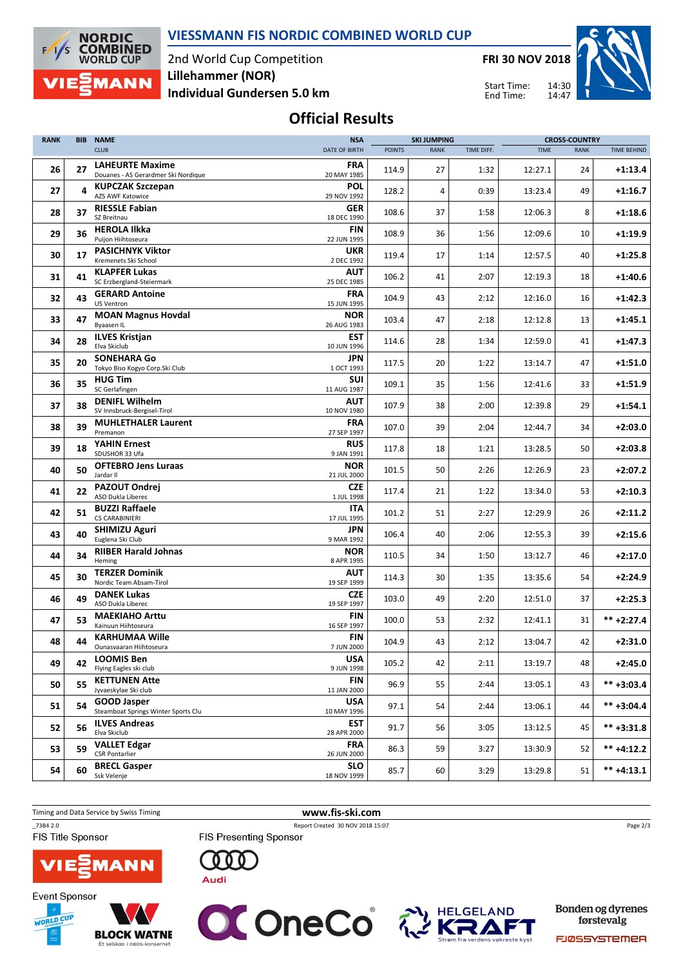

#### VIESSMANN FIS NORDIC COMBINED WORLD CUP

2nd World Cup Competition Individual Gundersen 5.0 km Lillehammer (NOR)

FRI 30 NOV 2018

Start Time: End Time:

 $14.30$ 



# Official Results

| <b>RANK</b> | <b>BIB</b> | <b>NAME</b>                                                   | <b>NSA</b>                |               | <b>SKI JUMPING</b> |            | <b>CROSS-COUNTRY</b> |             |                    |  |
|-------------|------------|---------------------------------------------------------------|---------------------------|---------------|--------------------|------------|----------------------|-------------|--------------------|--|
|             |            | <b>CLUB</b>                                                   | DATE OF BIRTH             | <b>POINTS</b> | <b>RANK</b>        | TIME DIFF. | <b>TIME</b>          | <b>RANK</b> | <b>TIME BEHIND</b> |  |
| 26          | 27         | <b>LAHEURTE Maxime</b><br>Douanes - AS Gerardmer Ski Nordique | FRA<br>20 MAY 1985        | 114.9         | 27                 | 1:32       | 12:27.1              | 24          | $+1:13.4$          |  |
| 27          | 4          | <b>KUPCZAK Szczepan</b><br><b>AZS AWF Katowice</b>            | <b>POL</b><br>29 NOV 1992 | 128.2         | 4                  | 0:39       | 13:23.4              | 49          | $+1:16.7$          |  |
| 28          | 37         | <b>RIESSLE Fabian</b><br>SZ Breitnau                          | <b>GER</b><br>18 DEC 1990 | 108.6         | 37                 | 1:58       | 12:06.3              | 8           | $+1:18.6$          |  |
| 29          | 36         | <b>HEROLA Ilkka</b><br>Puijon Hiihtoseura                     | <b>FIN</b><br>22 JUN 1995 | 108.9         | 36                 | 1:56       | 12:09.6              | 10          | $+1:19.9$          |  |
| 30          | 17         | <b>PASICHNYK Viktor</b><br>Kremenets Ski School               | <b>UKR</b><br>2 DEC 1992  | 119.4         | 17                 | 1:14       | 12:57.5              | 40          | $+1:25.8$          |  |
| 31          | 41         | <b>KLAPFER Lukas</b><br>SC Erzbergland-Steiermark             | <b>AUT</b><br>25 DEC 1985 | 106.2         | 41                 | 2:07       | 12:19.3              | 18          | $+1:40.6$          |  |
| 32          | 43         | <b>GERARD Antoine</b><br><b>US Ventron</b>                    | FRA<br>15 JUN 1995        | 104.9         | 43                 | 2:12       | 12:16.0              | 16          | $+1:42.3$          |  |
| 33          | 47         | <b>MOAN Magnus Hovdal</b><br><b>Byaasen IL</b>                | <b>NOR</b><br>26 AUG 1983 | 103.4         | 47                 | 2:18       | 12:12.8              | 13          | $+1:45.1$          |  |
| 34          | 28         | <b>ILVES Kristjan</b><br>Elva Skiclub                         | EST<br>10 JUN 1996        | 114.6         | 28                 | 1:34       | 12:59.0              | 41          | $+1:47.3$          |  |
| 35          | 20         | <b>SONEHARA Go</b><br>Tokyo Biso Kogyo Corp.Ski Club          | <b>JPN</b><br>1 OCT 1993  | 117.5         | 20                 | 1:22       | 13:14.7              | 47          | $+1:51.0$          |  |
| 36          | 35         | <b>HUG Tim</b><br>SC Gerlafingen                              | <b>SUI</b><br>11 AUG 1987 | 109.1         | 35                 | 1:56       | 12:41.6              | 33          | $+1:51.9$          |  |
| 37          | 38         | <b>DENIFL Wilhelm</b><br>SV Innsbruck-Bergisel-Tirol          | AUT<br>10 NOV 1980        | 107.9         | 38                 | 2:00       | 12:39.8              | 29          | $+1:54.1$          |  |
| 38          | 39         | <b>MUHLETHALER Laurent</b><br>Premanon                        | FRA<br>27 SEP 1997        | 107.0         | 39                 | 2:04       | 12:44.7              | 34          | $+2:03.0$          |  |
| 39          | 18         | <b>YAHIN Ernest</b><br>SDUSHOR 33 Ufa                         | <b>RUS</b><br>9 JAN 1991  | 117.8         | 18                 | 1:21       | 13:28.5              | 50          | $+2:03.8$          |  |
| 40          | 50         | <b>OFTEBRO Jens Luraas</b><br>Jardar II                       | <b>NOR</b><br>21 JUL 2000 | 101.5         | 50                 | 2:26       | 12:26.9              | 23          | $+2:07.2$          |  |
| 41          | 22         | PAZOUT Ondrei<br>ASO Dukla Liberec                            | <b>CZE</b><br>1 JUL 1998  | 117.4         | 21                 | 1:22       | 13:34.0              | 53          | $+2:10.3$          |  |
| 42          | 51         | <b>BUZZI Raffaele</b><br><b>CS CARABINIERI</b>                | ITA<br>17 JUL 1995        | 101.2         | 51                 | 2:27       | 12:29.9              | 26          | $+2:11.2$          |  |
| 43          | 40         | <b>SHIMIZU Aguri</b><br>Euglena Ski Club                      | <b>JPN</b><br>9 MAR 1992  | 106.4         | 40                 | 2:06       | 12:55.3              | 39          | $+2:15.6$          |  |
| 44          | 34         | <b>RIIBER Harald Johnas</b><br>Heming                         | <b>NOR</b><br>8 APR 1995  | 110.5         | 34                 | 1:50       | 13:12.7              | 46          | $+2:17.0$          |  |
| 45          | 30         | <b>TERZER Dominik</b><br>Nordic Team Absam-Tirol              | <b>AUT</b><br>19 SEP 1999 | 114.3         | 30                 | 1:35       | 13:35.6              | 54          | $+2:24.9$          |  |
| 46          | 49         | <b>DANEK Lukas</b><br>ASO Dukla Liberec                       | <b>CZE</b><br>19 SEP 1997 | 103.0         | 49                 | 2:20       | 12:51.0              | 37          | $+2:25.3$          |  |
| 47          | 53         | <b>MAEKIAHO Arttu</b><br>Kainuun Hiihtoseura                  | <b>FIN</b><br>16 SEP 1997 | 100.0         | 53                 | 2:32       | 12:41.1              | 31          | $*** + 2:27.4$     |  |
| 48          | 44         | <b>KARHUMAA Wille</b><br>Ounasvaaran Hiihtoseura              | <b>FIN</b><br>7 JUN 2000  | 104.9         | 43                 | 2:12       | 13:04.7              | 42          | $+2:31.0$          |  |
| 49          | 42         | <b>LOOMIS Ben</b><br>Flying Eagles ski club                   | <b>USA</b><br>9 JUN 1998  | 105.2         | 42                 | 2:11       | 13:19.7              | 48          | $+2:45.0$          |  |
| 50          | 55         | <b>KETTUNEN Atte</b><br>Jyvaeskylae Ski club                  | FIN<br>11 JAN 2000        | 96.9          | 55                 | 2:44       | 13:05.1              | 43          | $*** +3:03.4$      |  |
| 51          | 54         | <b>GOOD Jasper</b><br>Steamboat Springs Winter Sports Clu     | <b>USA</b><br>10 MAY 1996 | 97.1          | 54                 | 2:44       | 13:06.1              | 44          | $*** +3:04.4$      |  |
| 52          | 56         | <b>ILVES Andreas</b><br>Elva Skiclub                          | EST<br>28 APR 2000        | 91.7          | 56                 | 3:05       | 13:12.5              | 45          | $*** +3:31.8$      |  |
| 53          | 59         | <b>VALLET Edgar</b><br><b>CSR Pontarlier</b>                  | <b>FRA</b><br>26 JUN 2000 | 86.3          | 59                 | 3:27       | 13:30.9              | 52          | $*** +4:12.2$      |  |
| 54          | 60         | <b>BRECL Gasper</b><br>Ssk Velenje                            | <b>SLO</b><br>18 NOV 1999 | 85.7          | 60                 | 3:29       | 13:29.8              | 51          | $*** +4:13.1$      |  |

Timing and Data Service by Swiss Timing WWW.fis-ski.com

## \_73B4 2.0 Report Created 30 NOV 2018 15:07

FIS Title Sponsor



**Event Sponsor** WORLD CUP **BLOCK WATNE** 

Et selskap i obos-l



FIS Presenting Sponsor

 $000$ 

**Audi** 



Bonden og dyrenes førstevalg

Page 2/3

FJØSSYSTEMER